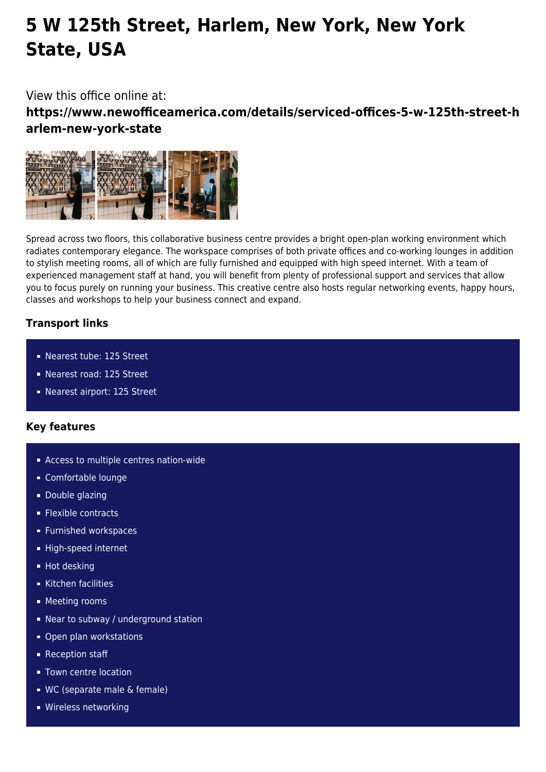## **5 W 125th Street, Harlem, New York, New York State, USA**

View this office online at:

**https://www.newofficeamerica.com/details/serviced-offices-5-w-125th-street-h arlem-new-york-state**



Spread across two floors, this collaborative business centre provides a bright open-plan working environment which radiates contemporary elegance. The workspace comprises of both private offices and co-working lounges in addition to stylish meeting rooms, all of which are fully furnished and equipped with high speed internet. With a team of experienced management staff at hand, you will benefit from plenty of professional support and services that allow you to focus purely on running your business. This creative centre also hosts regular networking events, happy hours, classes and workshops to help your business connect and expand.

## **Transport links**

- Nearest tube: 125 Street
- Nearest road: 125 Street
- Nearest airport: 125 Street

## **Key features**

- **Access to multiple centres nation-wide**
- Comfortable lounge
- **Double glazing**
- **Flexible contracts**
- **Furnished workspaces**
- High-speed internet
- **Hot desking**
- Kitchen facilities
- **Meeting rooms**
- Near to subway / underground station
- Open plan workstations
- **Reception staff**
- **Town centre location**
- WC (separate male & female)
- **Wireless networking**